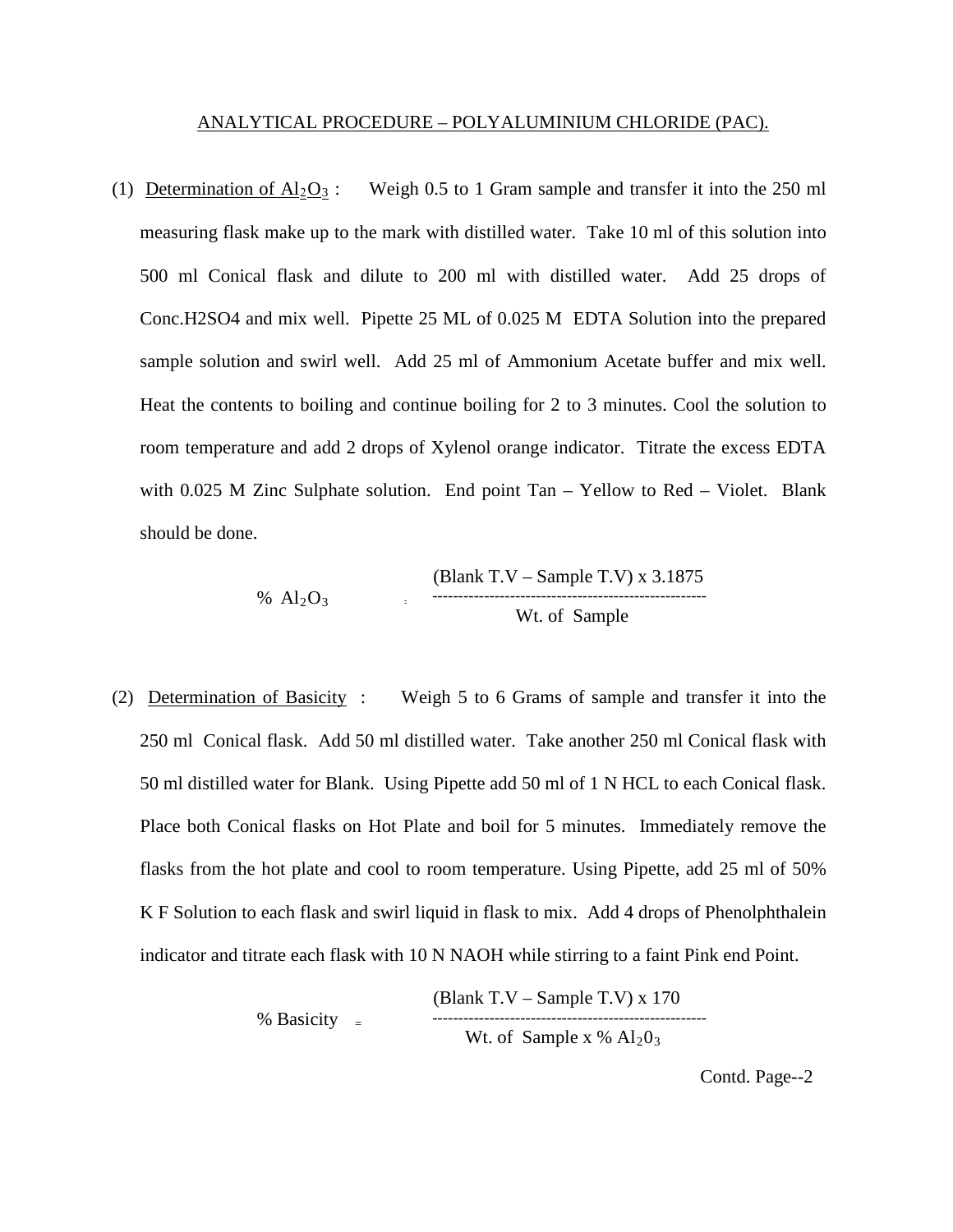## ANALYTICAL PROCEDURE – POLYALUMINIUM CHLORIDE (PAC).

(1) Determination of  $Al_2O_3$ : Weigh 0.5 to 1 Gram sample and transfer it into the 250 ml measuring flask make up to the mark with distilled water. Take 10 ml of this solution into 500 ml Conical flask and dilute to 200 ml with distilled water. Add 25 drops of Conc.H2SO4 and mix well. Pipette 25 ML of 0.025 M EDTA Solution into the prepared sample solution and swirl well. Add 25 ml of Ammonium Acetate buffer and mix well. Heat the contents to boiling and continue boiling for 2 to 3 minutes. Cool the solution to room temperature and add 2 drops of Xylenol orange indicator. Titrate the excess EDTA with 0.025 M Zinc Sulphate solution. End point Tan – Yellow to Red – Violet. Blank should be done.

$$
\% \ Al_2O_3 \qquad \qquad (Blank T.V - Sample T.V) \times 3.1875
$$
\n
$$
\% \ Al_2O_3 \qquad \qquad Wt. \text{ of Sample}
$$

(2) Determination of Basicity : Weigh 5 to 6 Grams of sample and transfer it into the 250 ml Conical flask. Add 50 ml distilled water. Take another 250 ml Conical flask with 50 ml distilled water for Blank. Using Pipette add 50 ml of 1 N HCL to each Conical flask. Place both Conical flasks on Hot Plate and boil for 5 minutes. Immediately remove the flasks from the hot plate and cool to room temperature. Using Pipette, add 25 ml of 50% K F Solution to each flask and swirl liquid in flask to mix. Add 4 drops of Phenolphthalein indicator and titrate each flask with 10 N NAOH while stirring to a faint Pink end Point.

$$
\% Basicity = \frac{(Blank T.V - Sample T.V) \times 170}{Wt. of Sample x \% Al2O3}
$$

Contd. Page--2